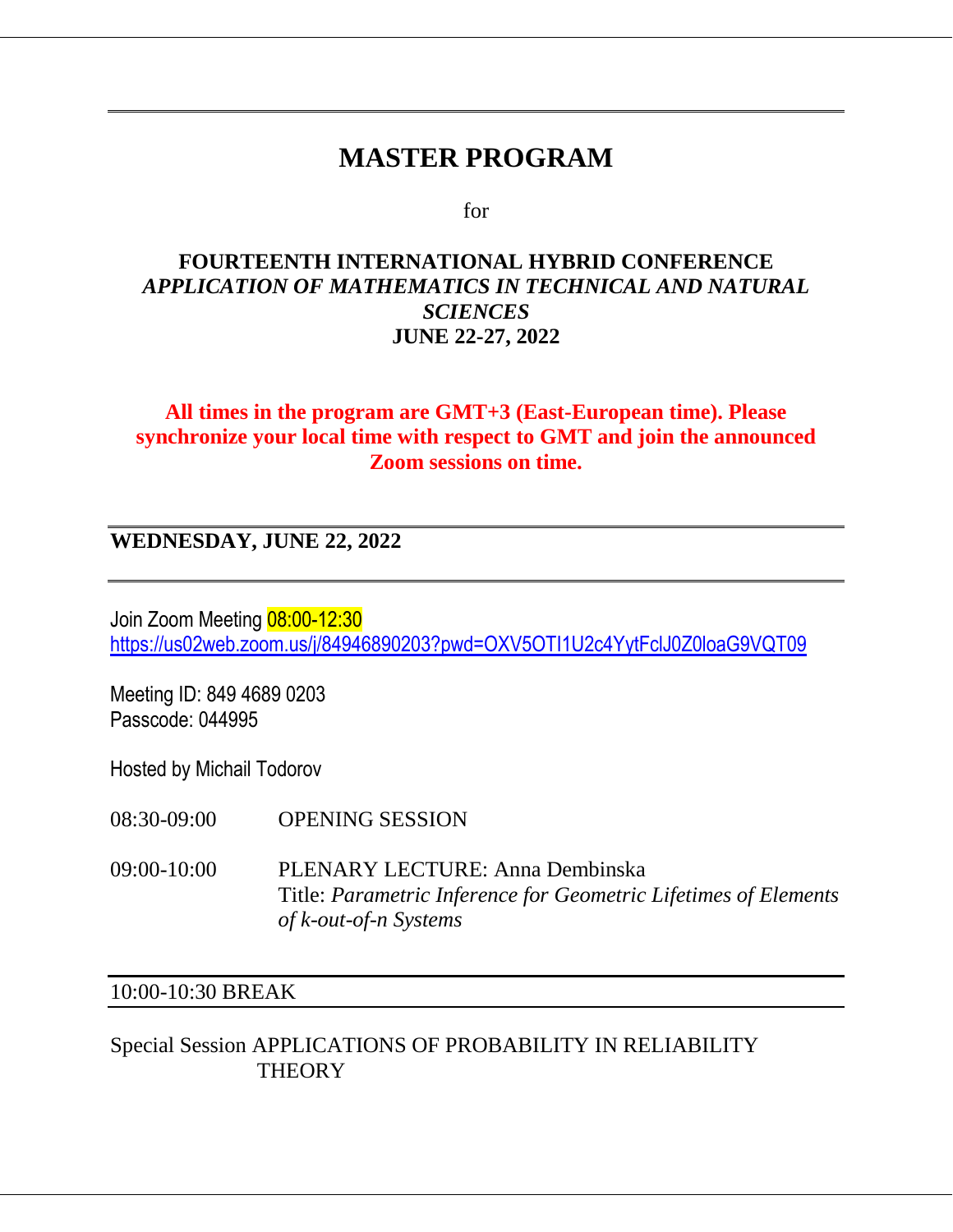# **MASTER PROGRAM**

for

#### **FOURTEENTH INTERNATIONAL HYBRID CONFERENCE** *APPLICATION OF MATHEMATICS IN TECHNICAL AND NATURAL SCIENCES* **JUNE 22-27, 2022**

#### **All times in the program are GMT+3 (East-European time). Please synchronize your local time with respect to GMT and join the announced Zoom sessions on time.**

**WEDNESDAY, JUNE 22, 2022**

Join Zoom Meeting 08:00-12:30 <https://us02web.zoom.us/j/84946890203?pwd=OXV5OTI1U2c4YytFclJ0Z0loaG9VQT09>

Meeting ID: 849 4689 0203 Passcode: 044995

Hosted by Michail Todorov

08:30-09:00 OPENING SESSION

09:00-10:00 PLENARY LECTURE: Anna Dembinska Title: *Parametric Inference for Geometric Lifetimes of Elements of k-out-of-n Systems*

#### 10:00-10:30 BREAK

#### Special Session APPLICATIONS OF PROBABILITY IN RELIABILITY **THEORY**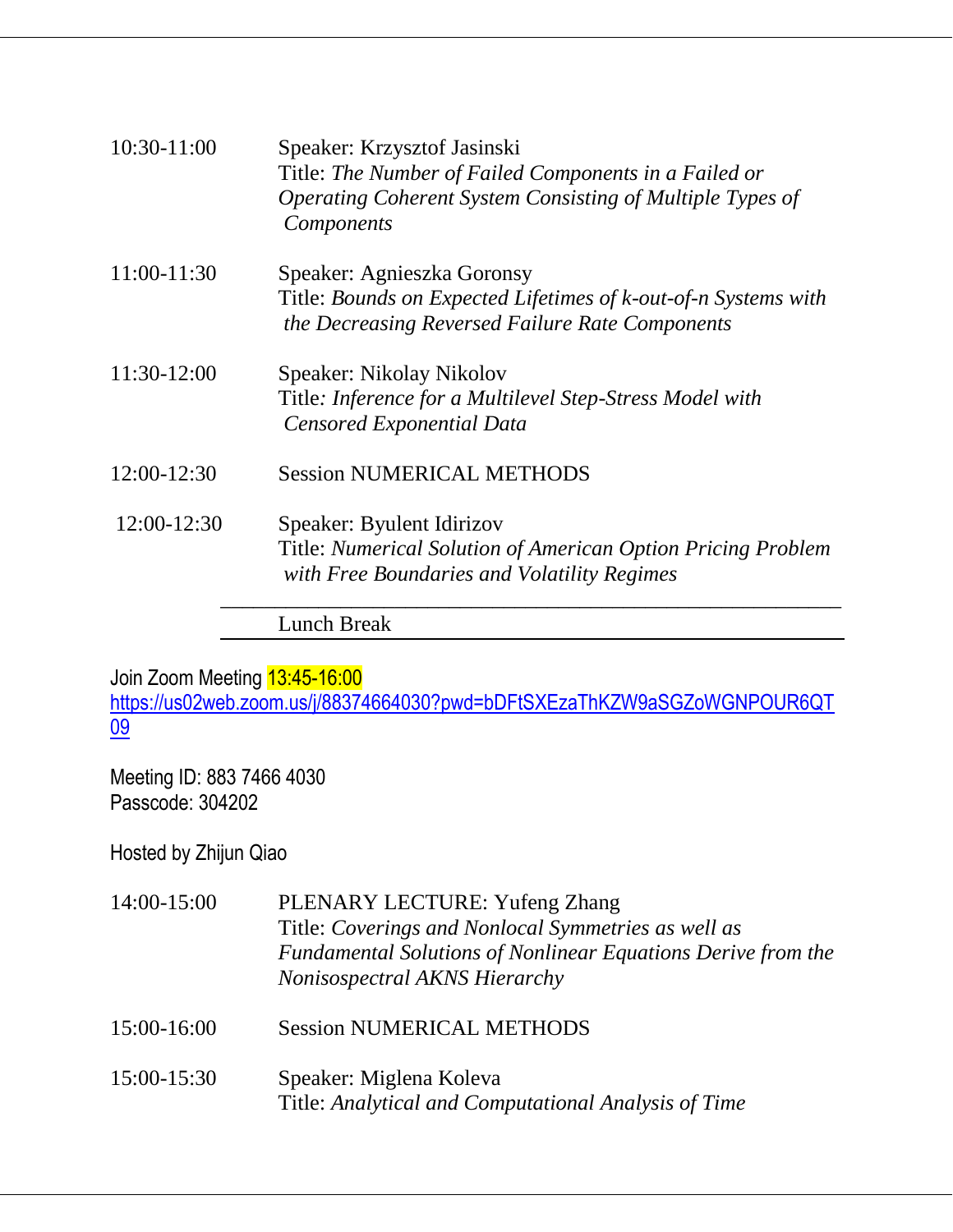| 10:30-11:00 | Speaker: Krzysztof Jasinski<br>Title: The Number of Failed Components in a Failed or<br>Operating Coherent System Consisting of Multiple Types of<br><i>Components</i> |
|-------------|------------------------------------------------------------------------------------------------------------------------------------------------------------------------|
| 11:00-11:30 | Speaker: Agnieszka Goronsy<br>Title: Bounds on Expected Lifetimes of k-out-of-n Systems with<br>the Decreasing Reversed Failure Rate Components                        |
| 11:30-12:00 | Speaker: Nikolay Nikolov<br>Title: Inference for a Multilevel Step-Stress Model with<br>Censored Exponential Data                                                      |
| 12:00-12:30 | <b>Session NUMERICAL METHODS</b>                                                                                                                                       |
| 12:00-12:30 | Speaker: Byulent Idirizov<br>Title: Numerical Solution of American Option Pricing Problem<br>with Free Boundaries and Volatility Regimes                               |
|             | Lunch Break                                                                                                                                                            |

Join Zoom Meeting 13:45-16:00 [https://us02web.zoom.us/j/88374664030?pwd=bDFtSXEzaThKZW9aSGZoWGNPOUR6QT](https://us02web.zoom.us/j/88374664030?pwd=bDFtSXEzaThKZW9aSGZoWGNPOUR6QT09) [09](https://us02web.zoom.us/j/88374664030?pwd=bDFtSXEzaThKZW9aSGZoWGNPOUR6QT09)

Meeting ID: 883 7466 4030 Passcode: 304202

Hosted by Zhijun Qiao

| 14:00-15:00 | PLENARY LECTURE: Yufeng Zhang<br>Title: Coverings and Nonlocal Symmetries as well as<br>Fundamental Solutions of Nonlinear Equations Derive from the<br>Nonisospectral AKNS Hierarchy |
|-------------|---------------------------------------------------------------------------------------------------------------------------------------------------------------------------------------|
| 15:00-16:00 | <b>Session NUMERICAL METHODS</b>                                                                                                                                                      |
| 15:00-15:30 | Speaker: Miglena Koleva<br>Title: Analytical and Computational Analysis of Time                                                                                                       |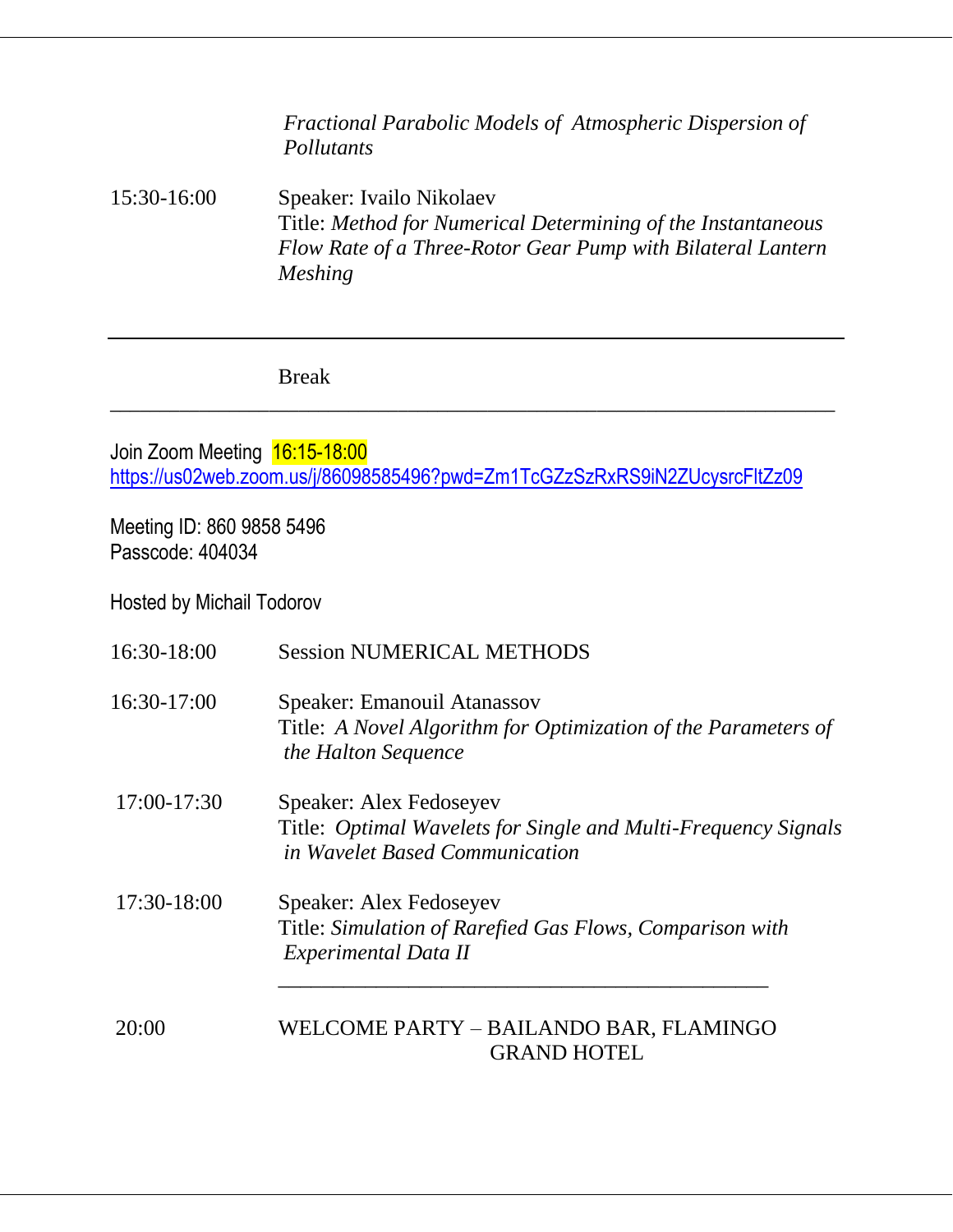*Fractional Parabolic Models of Atmospheric Dispersion of Pollutants*

15:30-16:00 Speaker: Ivailo Nikolaev Title: *Method for Numerical Determining of the Instantaneous Flow Rate of a Three-Rotor Gear Pump with Bilateral Lantern Meshing*

Break

Join Zoom Meeting 16:15-18:00 <https://us02web.zoom.us/j/86098585496?pwd=Zm1TcGZzSzRxRS9iN2ZUcysrcFltZz09>

 $\_$  , and the set of the set of the set of the set of the set of the set of the set of the set of the set of the set of the set of the set of the set of the set of the set of the set of the set of the set of the set of th

Meeting ID: 860 9858 5496 Passcode: 404034

Hosted by Michail Todorov

| 16:30-18:00   | <b>Session NUMERICAL METHODS</b>                                                                                            |
|---------------|-----------------------------------------------------------------------------------------------------------------------------|
| 16:30-17:00   | Speaker: Emanouil Atanassov<br>Title: A Novel Algorithm for Optimization of the Parameters of<br>the Halton Sequence        |
| $17:00-17:30$ | Speaker: Alex Fedoseyev<br>Title: Optimal Wavelets for Single and Multi-Frequency Signals<br>in Wavelet Based Communication |
| 17:30-18:00   | Speaker: Alex Fedoseyev<br>Title: Simulation of Rarefied Gas Flows, Comparison with<br>Experimental Data II                 |
| 20:00         | WELCOME PARTY - BAILANDO BAR, FLAMINGO<br><b>GRAND HOTEL</b>                                                                |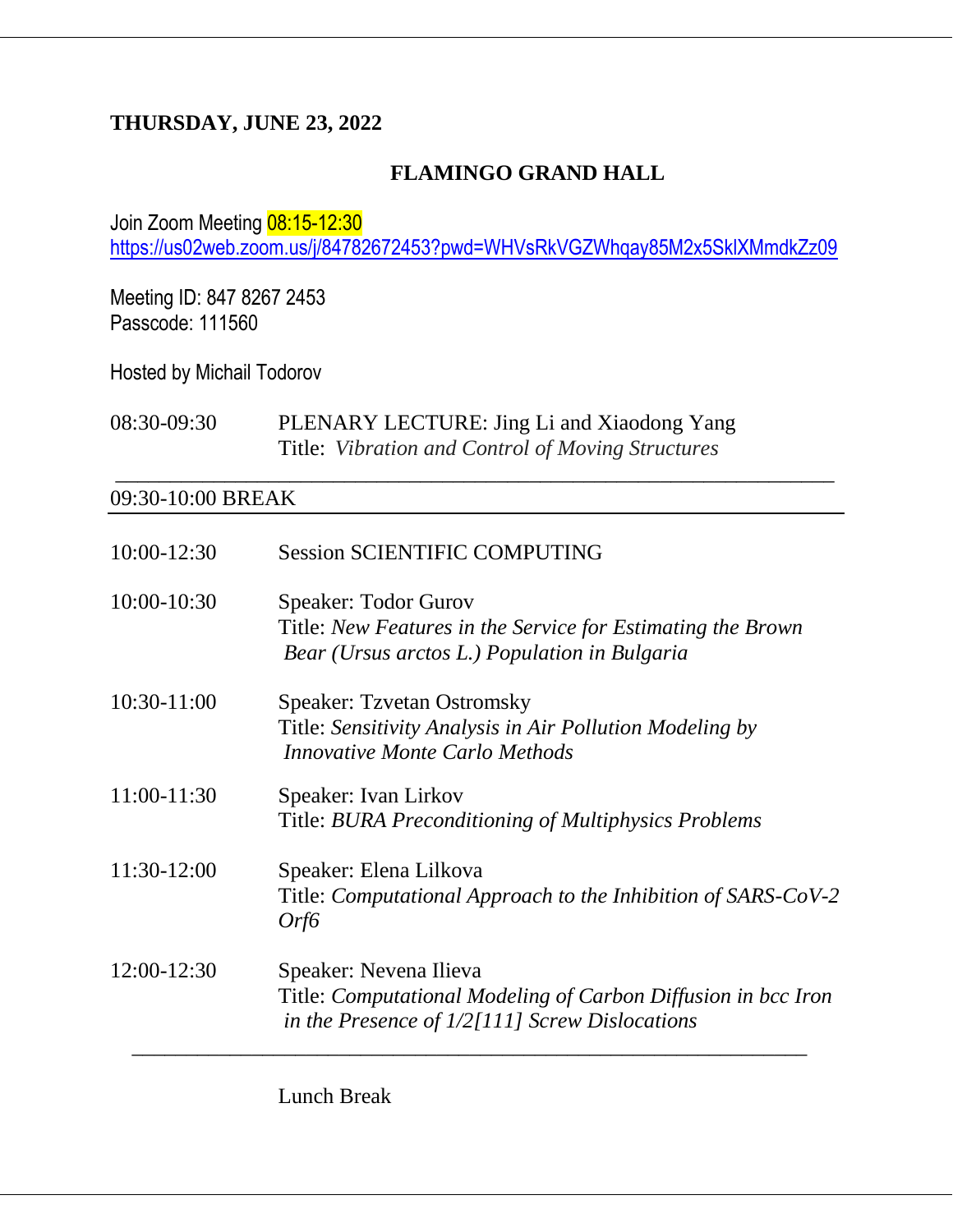#### **THURSDAY, JUNE 23, 2022**

### **FLAMINGO GRAND HALL**

Join Zoom Meeting 08:15-12:30 <https://us02web.zoom.us/j/84782672453?pwd=WHVsRkVGZWhqay85M2x5SklXMmdkZz09>

\_\_\_\_\_\_\_\_\_\_\_\_\_\_\_\_\_\_\_\_\_\_\_\_\_\_\_\_\_\_\_\_\_\_\_\_\_\_\_\_\_\_\_\_\_\_\_\_\_\_\_\_\_\_\_\_\_\_\_\_\_\_\_\_\_\_

Meeting ID: 847 8267 2453 Passcode: 111560

Hosted by Michail Todorov

08:30-09:30 PLENARY LECTURE: Jing Li and Xiaodong Yang Title: *Vibration and Control of Moving Structures*

#### 09:30-10:00 BREAK

| 10:00-12:30 | <b>Session SCIENTIFIC COMPUTING</b>                                                                                                         |
|-------------|---------------------------------------------------------------------------------------------------------------------------------------------|
| 10:00-10:30 | <b>Speaker: Todor Gurov</b><br>Title: New Features in the Service for Estimating the Brown<br>Bear (Ursus arctos L.) Population in Bulgaria |
| 10:30-11:00 | <b>Speaker: Tzvetan Ostromsky</b><br>Title: Sensitivity Analysis in Air Pollution Modeling by<br><b>Innovative Monte Carlo Methods</b>      |
| 11:00-11:30 | Speaker: Ivan Lirkov<br>Title: BURA Preconditioning of Multiphysics Problems                                                                |
| 11:30-12:00 | Speaker: Elena Lilkova<br>Title: Computational Approach to the Inhibition of SARS-CoV-2<br>Orf6                                             |
| 12:00-12:30 | Speaker: Nevena Ilieva<br>Title: Computational Modeling of Carbon Diffusion in bcc Iron<br>in the Presence of $1/2[111]$ Screw Dislocations |

Lunch Break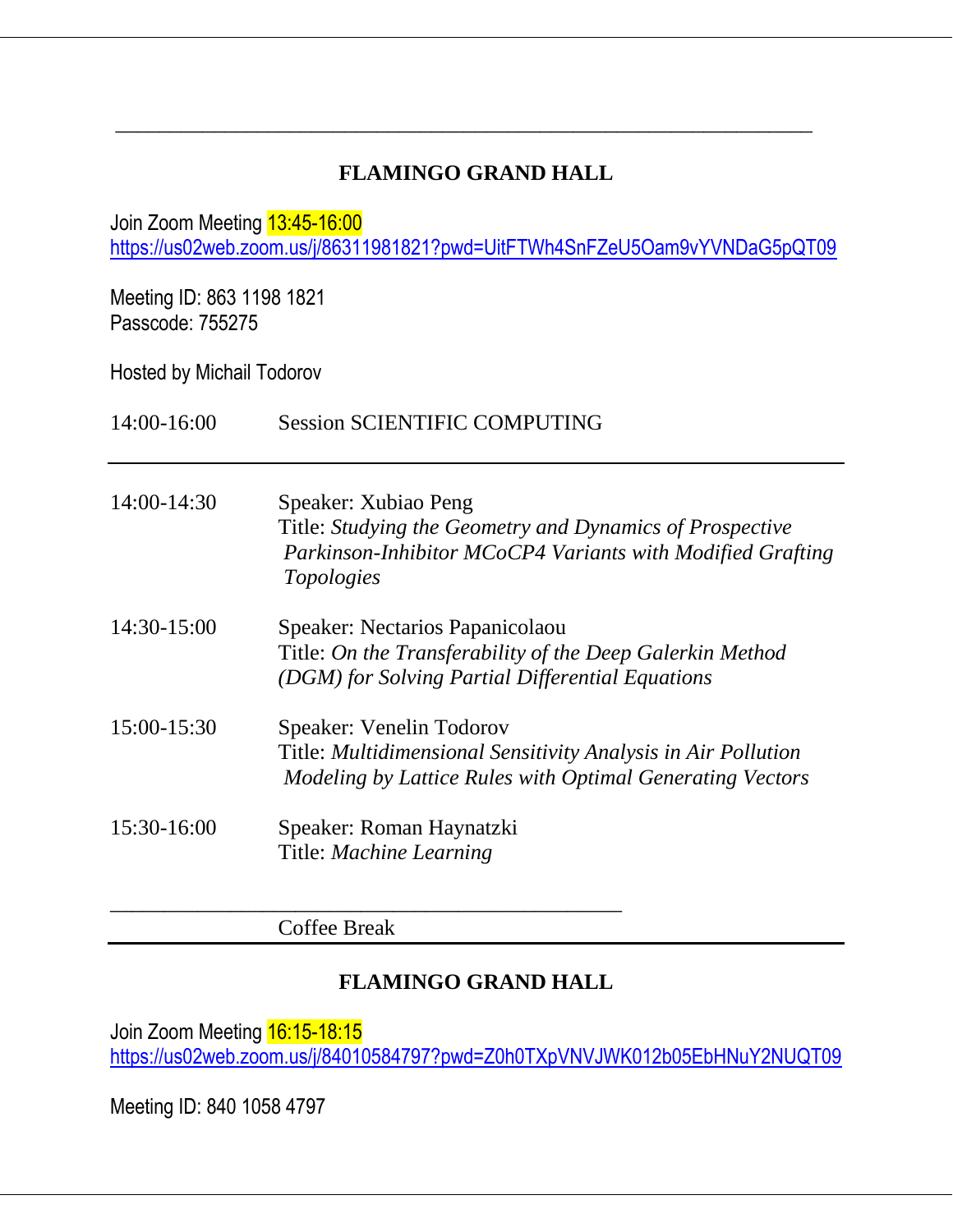## **FLAMINGO GRAND HALL**

\_\_\_\_\_\_\_\_\_\_\_\_\_\_\_\_\_\_\_\_\_\_\_\_\_\_\_\_\_\_\_\_\_\_\_\_\_\_\_\_\_\_\_\_\_\_\_\_\_\_\_\_\_\_\_\_\_\_\_\_\_\_\_\_

Join Zoom Meeting 13:45-16:00

<https://us02web.zoom.us/j/86311981821?pwd=UitFTWh4SnFZeU5Oam9vYVNDaG5pQT09>

Meeting ID: 863 1198 1821 Passcode: 755275

Hosted by Michail Todorov

14:00-16:00 Session SCIENTIFIC COMPUTING

| 14:00-14:30 | Speaker: Xubiao Peng                                       |
|-------------|------------------------------------------------------------|
|             | Title: Studying the Geometry and Dynamics of Prospective   |
|             | Parkinson-Inhibitor MCoCP4 Variants with Modified Grafting |
|             | Topologies                                                 |
|             |                                                            |

- 14:30-15:00 Speaker: Nectarios Papanicolaou Title: *On the Transferability of the Deep Galerkin Method (DGM) for Solving Partial Differential Equations*
- 15:00-15:30 Speaker: Venelin Todorov Title: *Multidimensional Sensitivity Analysis in Air Pollution Modeling by Lattice Rules with Optimal Generating Vectors*
- 15:30-16:00 Speaker: Roman Haynatzki Title: *Machine Learning*

Coffee Break

\_\_\_\_\_\_\_\_\_\_\_\_\_\_\_\_\_\_\_\_\_\_\_\_\_\_\_\_\_\_\_\_\_\_\_\_\_\_\_\_\_\_\_\_\_\_\_

### **FLAMINGO GRAND HALL**

Join Zoom Meeting 16:15-18:15 <https://us02web.zoom.us/j/84010584797?pwd=Z0h0TXpVNVJWK012b05EbHNuY2NUQT09>

Meeting ID: 840 1058 4797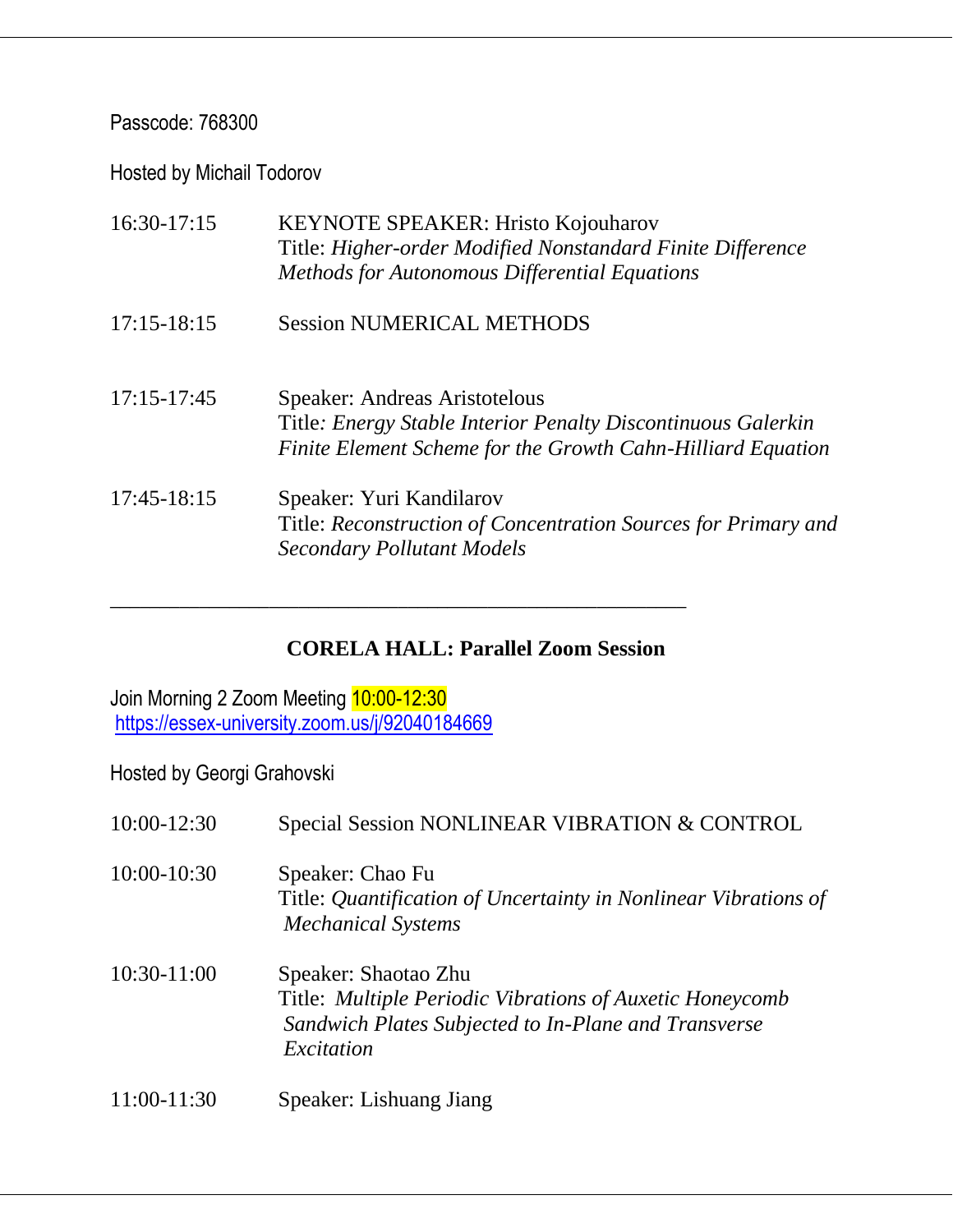#### Passcode: 768300

Hosted by Michail Todorov

| 16:30-17:15     | KEYNOTE SPEAKER: Hristo Kojouharov<br>Title: Higher-order Modified Nonstandard Finite Difference<br><b>Methods for Autonomous Differential Equations</b>     |
|-----------------|--------------------------------------------------------------------------------------------------------------------------------------------------------------|
| $17:15 - 18:15$ | <b>Session NUMERICAL METHODS</b>                                                                                                                             |
| $17:15 - 17:45$ | Speaker: Andreas Aristotelous<br>Title: Energy Stable Interior Penalty Discontinuous Galerkin<br>Finite Element Scheme for the Growth Cahn-Hilliard Equation |
| 17:45-18:15     | Speaker: Yuri Kandilarov<br>Title: Reconstruction of Concentration Sources for Primary and<br><b>Secondary Pollutant Models</b>                              |

### **CORELA HALL: Parallel Zoom Session**

\_\_\_\_\_\_\_\_\_\_\_\_\_\_\_\_\_\_\_\_\_\_\_\_\_\_\_\_\_\_\_\_\_\_\_\_\_\_\_\_\_\_\_\_\_\_\_\_\_\_\_\_\_\_\_\_\_\_

Join Morning 2 Zoom Meeting 10:00-12:30 <https://essex-university.zoom.us/j/92040184669>

| 10:00-12:30     | Special Session NONLINEAR VIBRATION & CONTROL                                                                                                          |
|-----------------|--------------------------------------------------------------------------------------------------------------------------------------------------------|
| $10:00 - 10:30$ | Speaker: Chao Fu<br>Title: Quantification of Uncertainty in Nonlinear Vibrations of<br><b>Mechanical Systems</b>                                       |
| $10:30-11:00$   | Speaker: Shaotao Zhu<br>Title: Multiple Periodic Vibrations of Auxetic Honeycomb<br>Sandwich Plates Subjected to In-Plane and Transverse<br>Excitation |
| 11:00-11:30     | Speaker: Lishuang Jiang                                                                                                                                |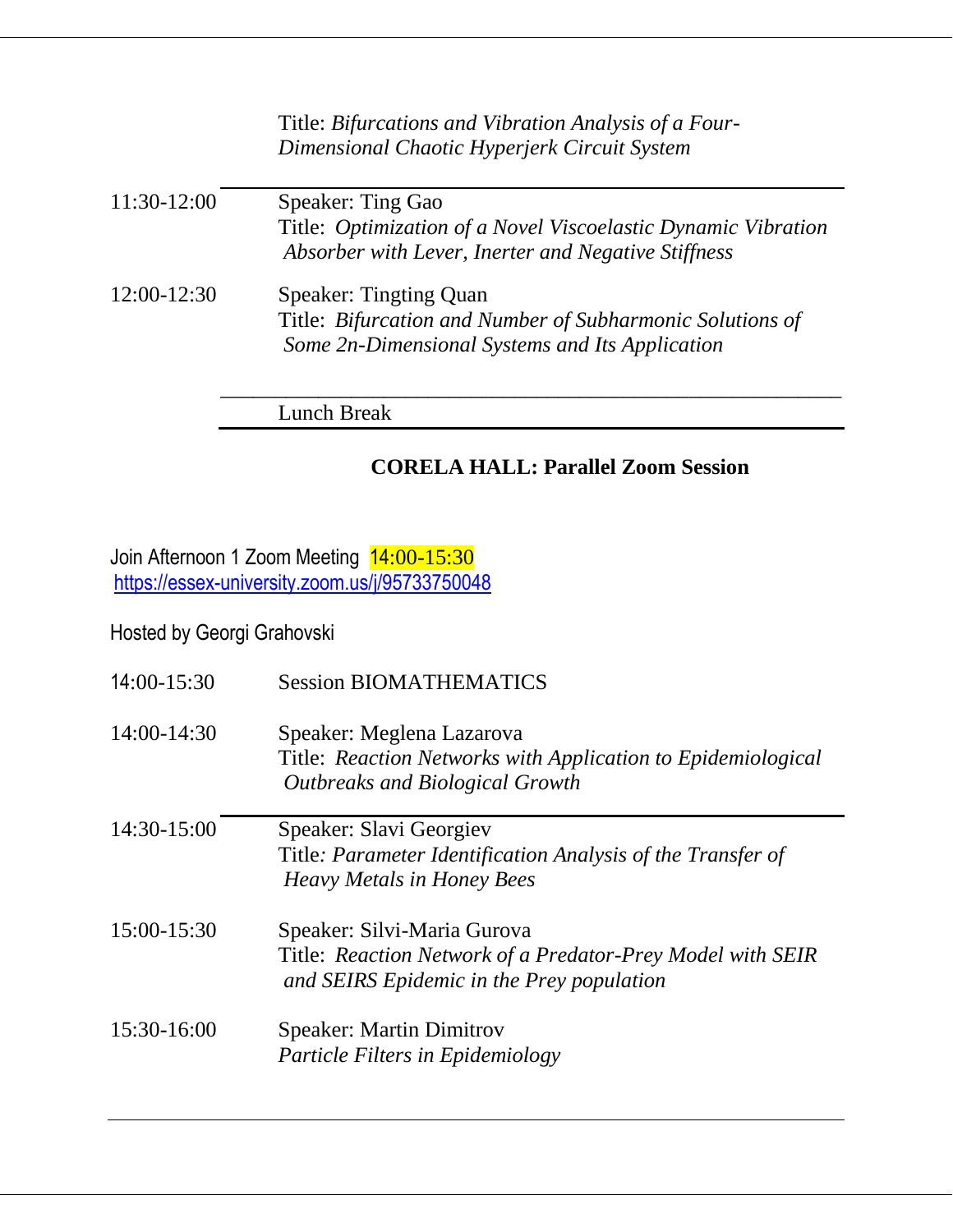|               | Title: Bifurcations and Vibration Analysis of a Four-<br>Dimensional Chaotic Hyperjerk Circuit System                                         |
|---------------|-----------------------------------------------------------------------------------------------------------------------------------------------|
| 11:30-12:00   | Speaker: Ting Gao<br>Title: Optimization of a Novel Viscoelastic Dynamic Vibration<br>Absorber with Lever, Inerter and Negative Stiffness     |
| $12:00-12:30$ | <b>Speaker: Tingting Quan</b><br>Title: Bifurcation and Number of Subharmonic Solutions of<br>Some 2n-Dimensional Systems and Its Application |

Lunch Break

### **CORELA HALL: Parallel Zoom Session**

\_\_\_\_\_\_\_\_\_\_\_\_\_\_\_\_\_\_\_\_\_\_\_\_\_\_\_\_\_\_\_\_\_\_\_\_\_\_\_\_\_\_\_\_\_\_\_\_\_\_\_\_\_\_\_\_\_

Join Afternoon 1 Zoom Meeting 14:00-15:30 <https://essex-university.zoom.us/j/95733750048>

| $14:00-15:30$ | <b>Session BIOMATHEMATICS</b>                                                                                                          |
|---------------|----------------------------------------------------------------------------------------------------------------------------------------|
| 14:00-14:30   | Speaker: Meglena Lazarova<br>Title: Reaction Networks with Application to Epidemiological<br><b>Outbreaks and Biological Growth</b>    |
| 14:30-15:00   | Speaker: Slavi Georgiev<br>Title: Parameter Identification Analysis of the Transfer of<br><b>Heavy Metals in Honey Bees</b>            |
| 15:00-15:30   | Speaker: Silvi-Maria Gurova<br>Title: Reaction Network of a Predator-Prey Model with SEIR<br>and SEIRS Epidemic in the Prey population |
| 15:30-16:00   | <b>Speaker: Martin Dimitrov</b><br>Particle Filters in Epidemiology                                                                    |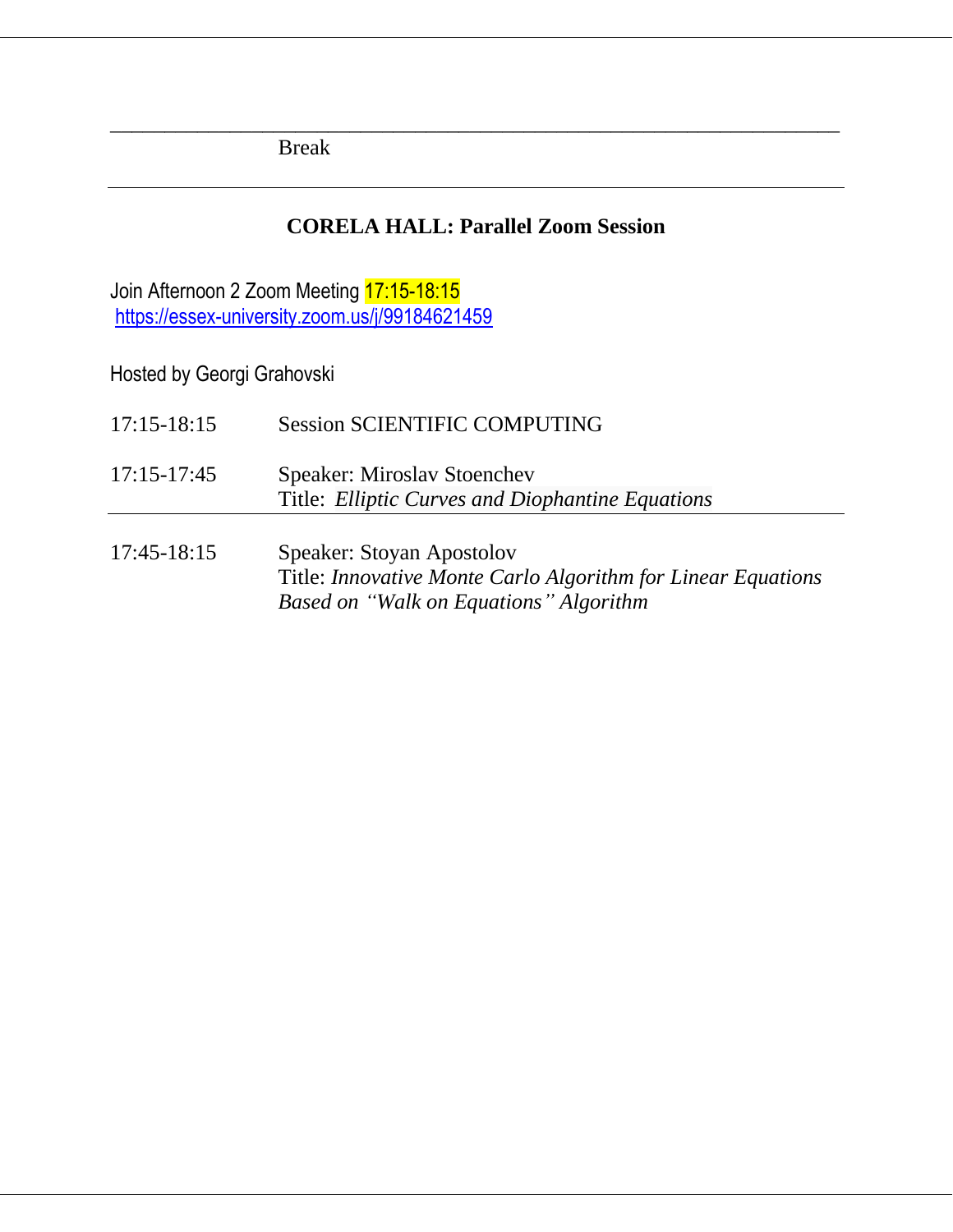Break

#### **CORELA HALL: Parallel Zoom Session**

*\_\_\_\_\_\_\_\_\_\_\_\_\_\_\_\_\_\_\_\_\_\_\_\_\_\_\_\_\_\_\_\_\_\_\_\_\_\_\_\_\_\_\_\_\_\_\_\_\_\_\_\_\_\_\_\_\_\_\_\_\_\_\_\_\_\_\_*

Join Afternoon 2 Zoom Meeting 17:15-18:15 <https://essex-university.zoom.us/j/99184621459>

| $17:15 - 18:15$ | <b>Session SCIENTIFIC COMPUTING</b>                                                                                                 |
|-----------------|-------------------------------------------------------------------------------------------------------------------------------------|
| $17:15 - 17:45$ | <b>Speaker: Miroslav Stoenchev</b><br>Title: Elliptic Curves and Diophantine Equations                                              |
| 17:45-18:15     | Speaker: Stoyan Apostolov<br>Title: Innovative Monte Carlo Algorithm for Linear Equations<br>Based on "Walk on Equations" Algorithm |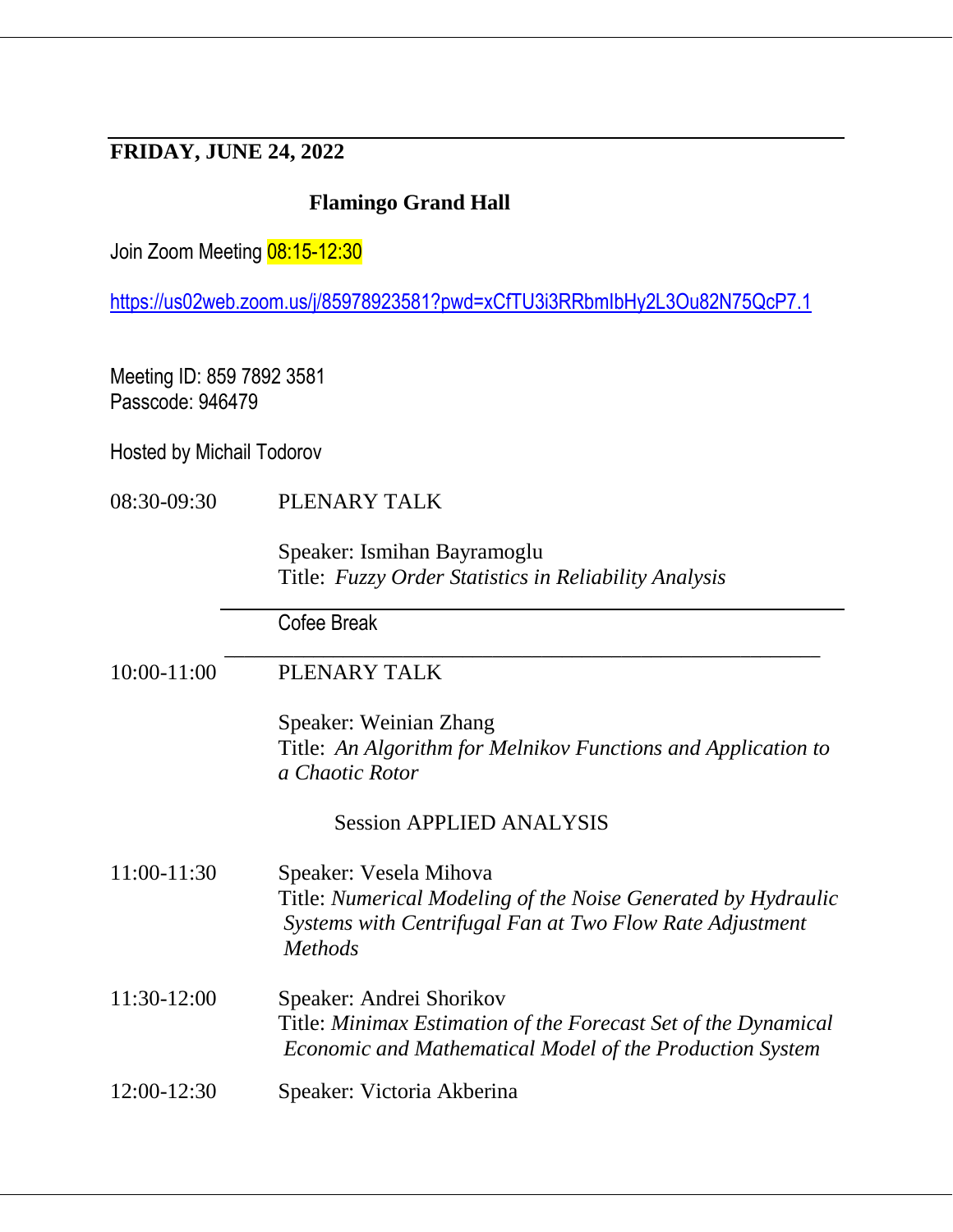### **FRIDAY, JUNE 24, 2022**

#### **Flamingo Grand Hall**

Join Zoom Meeting 08:15-12:30

<https://us02web.zoom.us/j/85978923581?pwd=xCfTU3i3RRbmIbHy2L3Ou82N75QcP7.1>

Meeting ID: 859 7892 3581 Passcode: 946479

Hosted by Michail Todorov

08:30-09:30 PLENARY TALK

Speaker: Ismihan Bayramoglu Title: *Fuzzy Order Statistics in Reliability Analysis*

Cofee Break

| PLENARY TALK<br>10:00-11:00 |
|-----------------------------|
|-----------------------------|

Speaker: Weinian Zhang Title: *An Algorithm for Melnikov Functions and Application to a Chaotic Rotor*

#### Session APPLIED ANALYSIS

 $\mathcal{L}_\text{max}$  , and the contract of the contract of the contract of the contract of the contract of the contract of the contract of the contract of the contract of the contract of the contract of the contract of the contr

11:00-11:30 Speaker: Vesela Mihova Title: *Numerical Modeling of the Noise Generated by Hydraulic Systems with Centrifugal Fan at Two Flow Rate Adjustment Methods*

- 11:30-12:00 Speaker: Andrei Shorikov Title: *Minimax Estimation of the Forecast Set of the Dynamical Economic and Mathematical Model of the Production System*
- 12:00-12:30 Speaker: Victoria Akberina